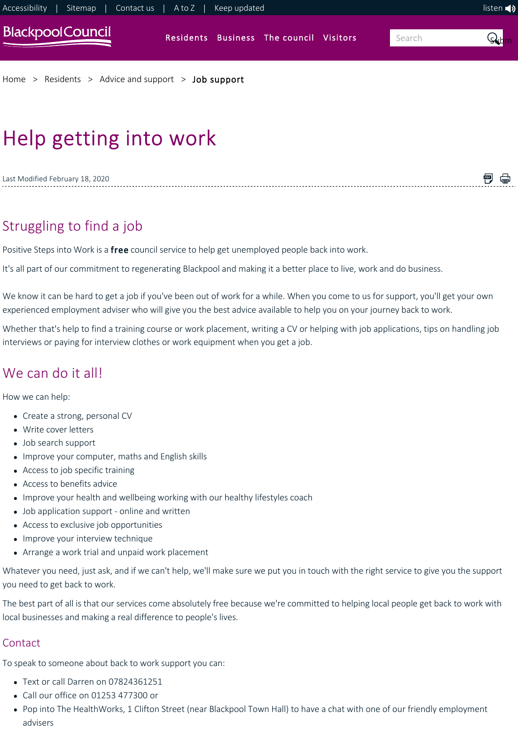

闸 骨

[Home](https://www.blackpool.gov.uk/Home.aspx) > [Residents](https://www.blackpool.gov.uk/Residents/Residents.aspx) > [Advice and support](https://www.blackpool.gov.uk/Residents/Advice-and-support/Advice-and-support.aspx) > **[Job support](https://www.blackpool.gov.uk/Residents/Advice-and-support/Job-support/Help-getting-into-work.aspx)** 

# Help getting into work

Last Modified February 18, 2020

# Struggling to find a job

Positive Steps into Work is a free council service to help get unemployed people back into work.

It's all part of our commitment to regenerating Blackpool and making it a better place to live, work and do business.

We know it can be hard to get a job if you've been out of work for a while. When you come to us for support, you'll get your own experienced employment adviser who will give you the best advice available to help you on your journey back to work.

Whether that's help to find a training course or work placement, writing a CV or helping with job applications, tips on handling job interviews or paying for interview clothes or work equipment when you get a job.

## We can do it all!

How we can help:

- Create a strong, personal CV
- Write cover letters
- Job search support
- Improve your computer, maths and English skills
- Access to job specific training
- Access to benefits advice
- Improve your health and wellbeing working with our healthy lifestyles coach
- Job application support online and written
- Access to exclusive job opportunities
- Improve your interview technique
- Arrange a work trial and unpaid work placement

Whatever you need, just ask, and if we can't help, we'll make sure we put you in touch with the right service to give you the support you need to get back to work.

The best part of all is that our services come absolutely free because we're committed to helping local people get back to work with local businesses and making a real difference to people's lives.

#### Contact

To speak to someone about back to work support you can:

- Text or call Darren on 07824361251
- Call our office on 01253 477300 or
- Pop into The HealthWorks, 1 Clifton Street (near Blackpool Town Hall) to have a chat with one of our friendly employment advisers